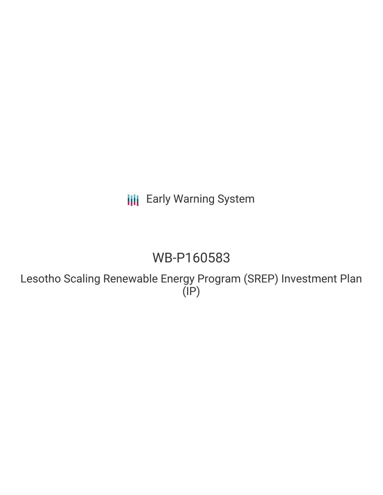**III** Early Warning System

# WB-P160583

Lesotho Scaling Renewable Energy Program (SREP) Investment Plan (IP)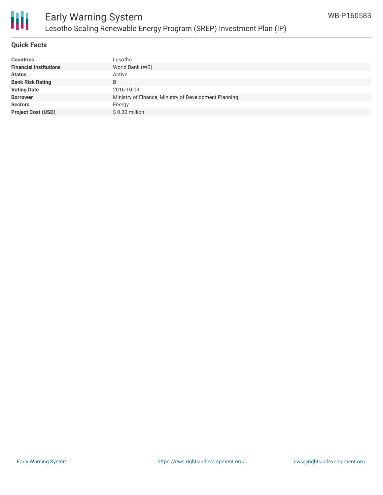

# Early Warning System Lesotho Scaling Renewable Energy Program (SREP) Investment Plan (IP)

#### **Quick Facts**

| <b>Countries</b>              | Lesotho                                               |
|-------------------------------|-------------------------------------------------------|
| <b>Financial Institutions</b> | World Bank (WB)                                       |
| <b>Status</b>                 | Active                                                |
| <b>Bank Risk Rating</b>       | B                                                     |
| <b>Voting Date</b>            | 2016-10-09                                            |
| <b>Borrower</b>               | Ministry of Finance, Ministry of Development Planning |
| <b>Sectors</b>                | Energy                                                |
| <b>Project Cost (USD)</b>     | $$0.30$ million                                       |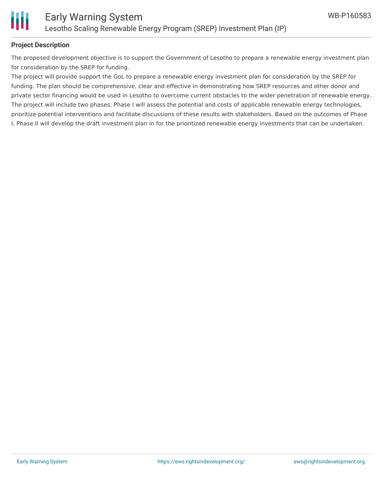

#### **Project Description**

The proposed development objective is to support the Government of Lesotho to prepare a renewable energy investment plan for consideration by the SREP for funding.

The project will provide support the GoL to prepare a renewable energy investment plan for consideration by the SREP for funding. The plan should be comprehensive, clear and effective in demonstrating how SREP resources and other donor and private sector financing would be used in Lesotho to overcome current obstacles to the wider penetration of renewable energy. The project will include two phases. Phase I will assess the potential and costs of applicable renewable energy technologies, prioritize potential interventions and facilitate discussions of these results with stakeholders. Based on the outcomes of Phase I, Phase II will develop the draft investment plan in for the prioritized renewable energy investments that can be undertaken.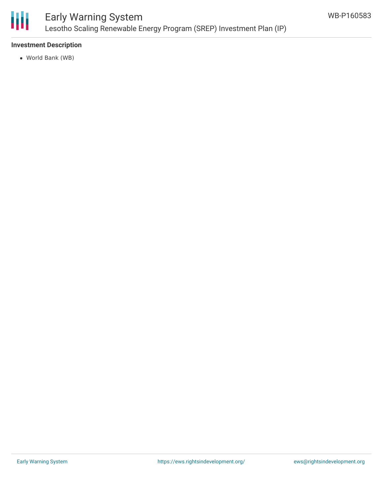

### Early Warning System Lesotho Scaling Renewable Energy Program (SREP) Investment Plan (IP)

#### **Investment Description**

World Bank (WB)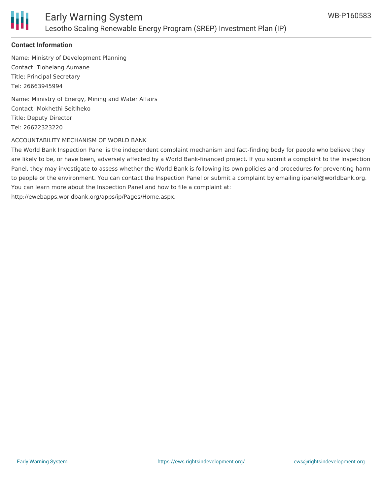

#### **Contact Information**

Name: Ministry of Development Planning Contact: Tlohelang Aumane Title: Principal Secretary Tel: 26663945994

Name: Miinistry of Energy, Mining and Water Affairs Contact: Mokhethi Seitlheko Title: Deputy Director Tel: 26622323220

#### ACCOUNTABILITY MECHANISM OF WORLD BANK

The World Bank Inspection Panel is the independent complaint mechanism and fact-finding body for people who believe they are likely to be, or have been, adversely affected by a World Bank-financed project. If you submit a complaint to the Inspection Panel, they may investigate to assess whether the World Bank is following its own policies and procedures for preventing harm to people or the environment. You can contact the Inspection Panel or submit a complaint by emailing ipanel@worldbank.org. You can learn more about the Inspection Panel and how to file a complaint at: http://ewebapps.worldbank.org/apps/ip/Pages/Home.aspx.